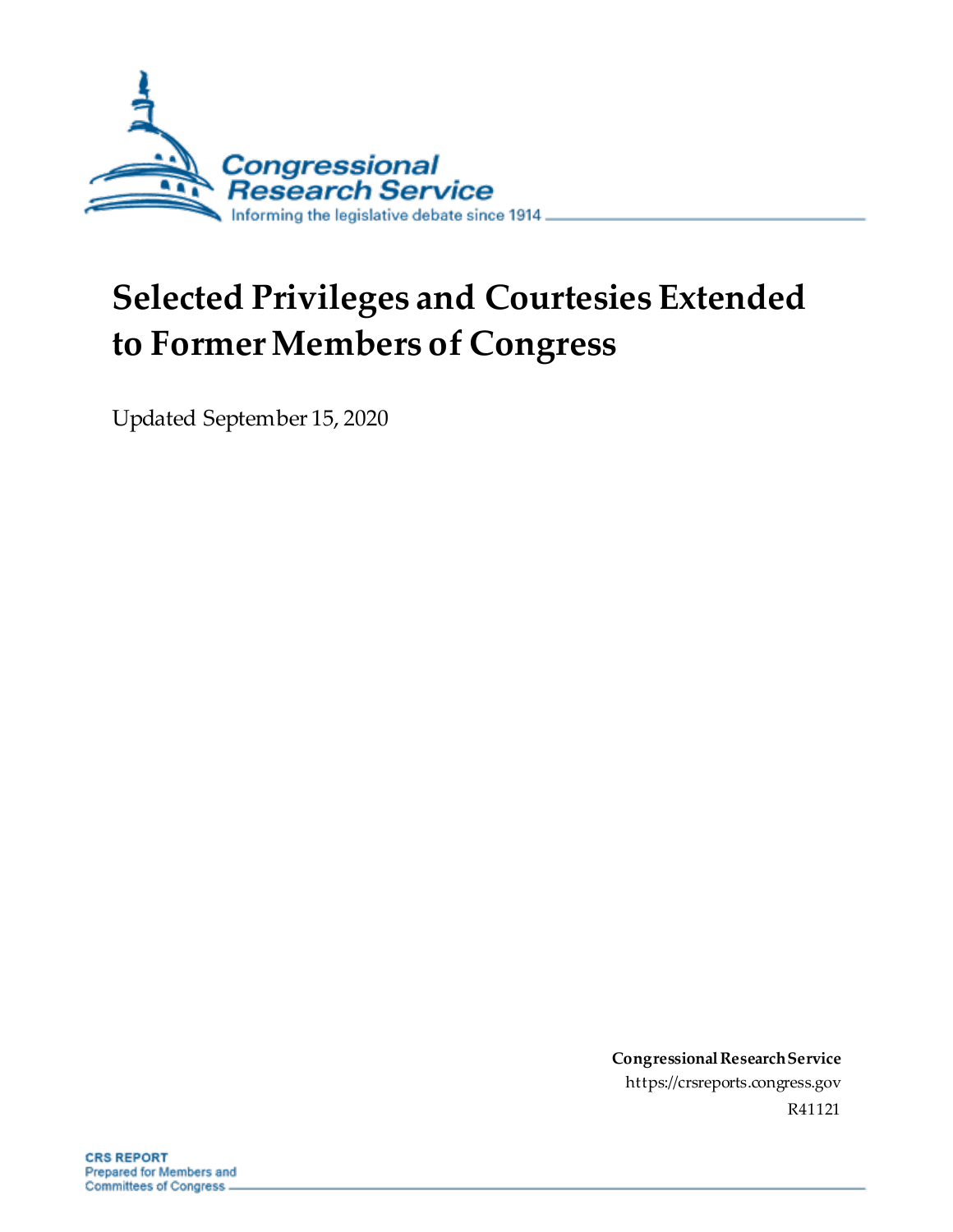

# **Selected Privileges and Courtesies Extended to Former Members of Congress**

Updated September 15, 2020

**Congressional Research Service** https://crsreports.congress.gov R41121

**CRS REPORT** Prepared for Members and Committees of Congress.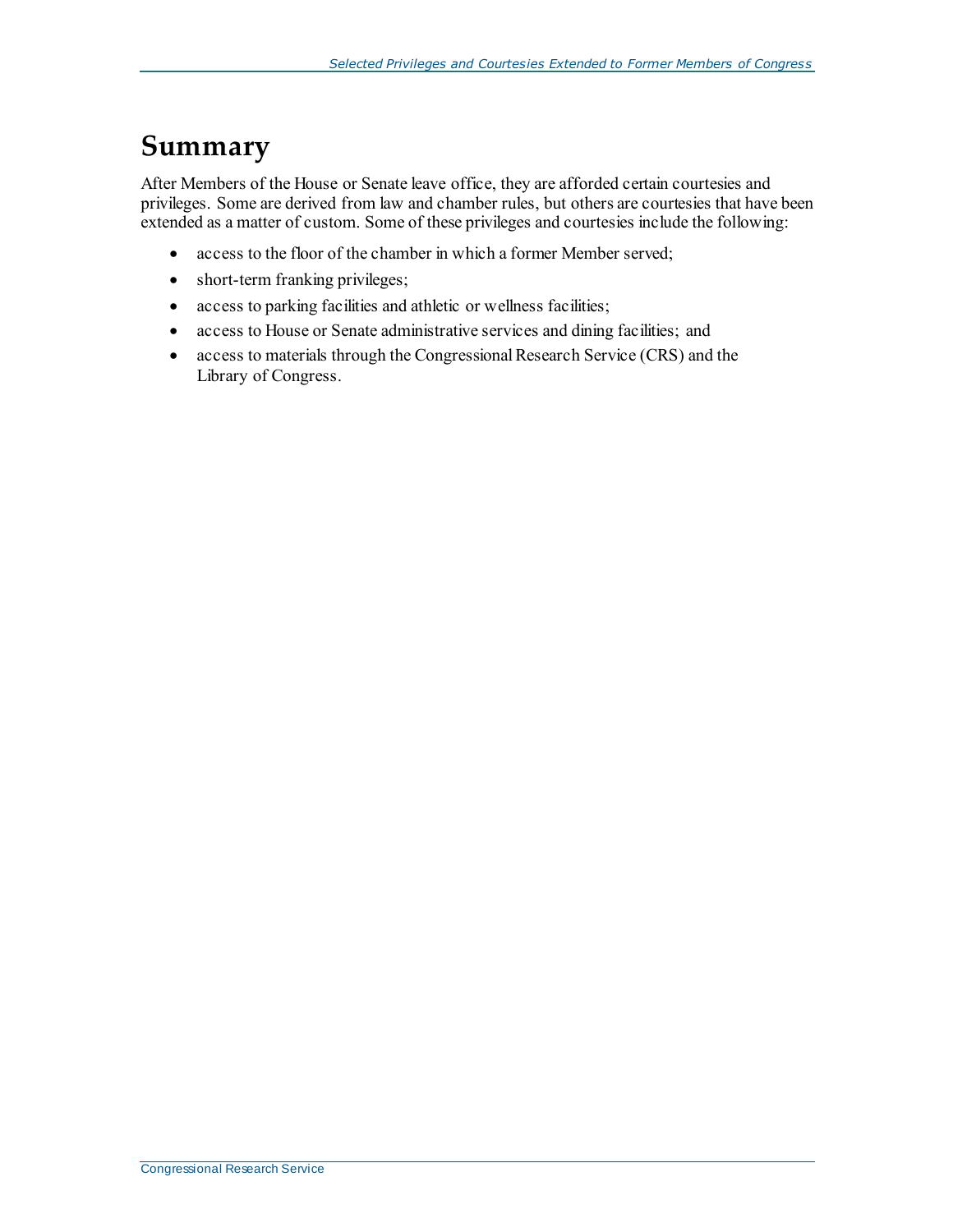### **Summary**

After Members of the House or Senate leave office, they are afforded certain courtesies and privileges. Some are derived from law and chamber rules, but others are courtesies that have been extended as a matter of custom. Some of these privileges and courtesies include the following:

- access to the floor of the chamber in which a former Member served;
- short-term franking privileges;
- access to parking facilities and athletic or wellness facilities;
- access to House or Senate administrative services and dining facilities; and
- access to materials through the Congressional Research Service (CRS) and the Library of Congress.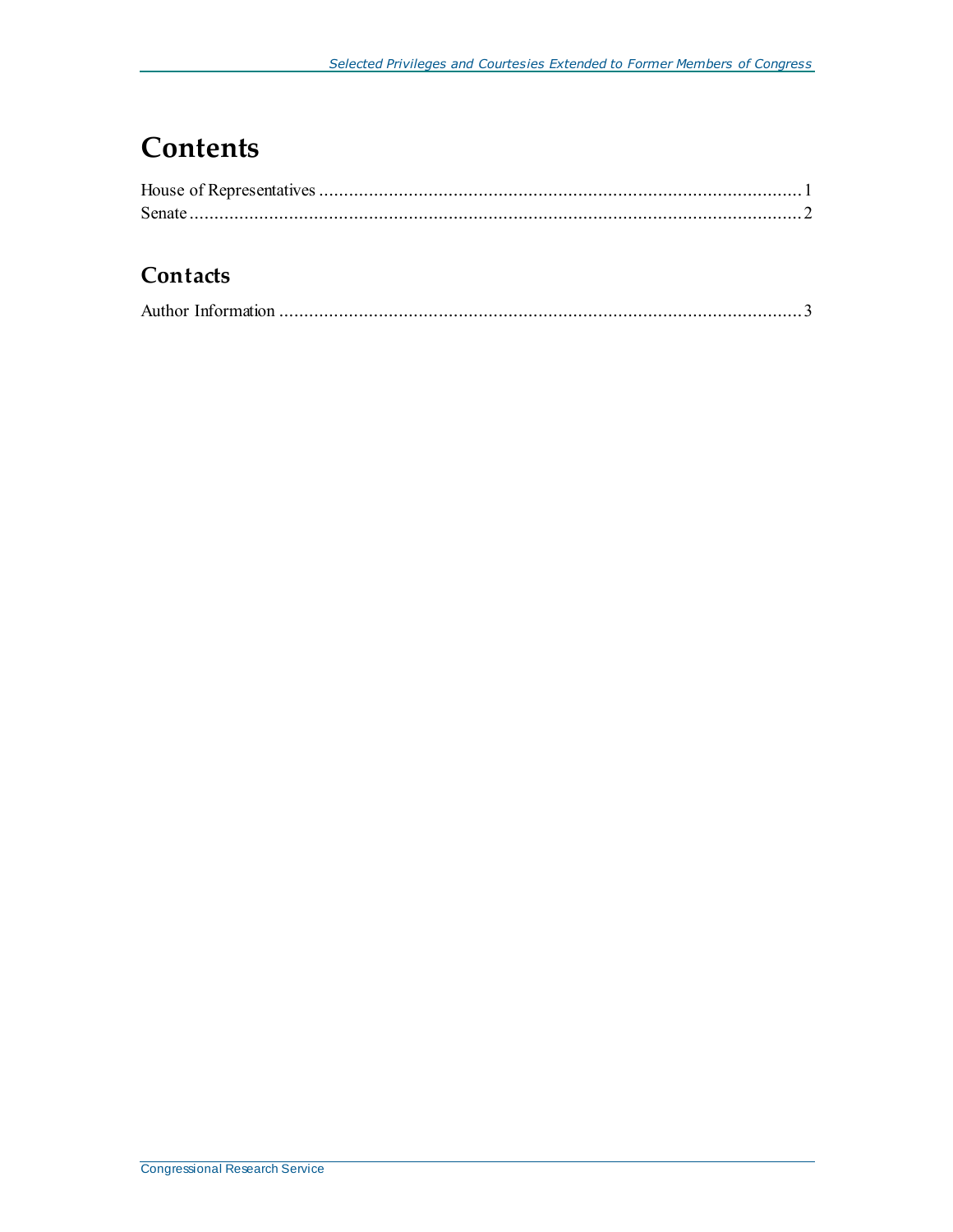# **Contents**

#### **Contacts**

|--|--|--|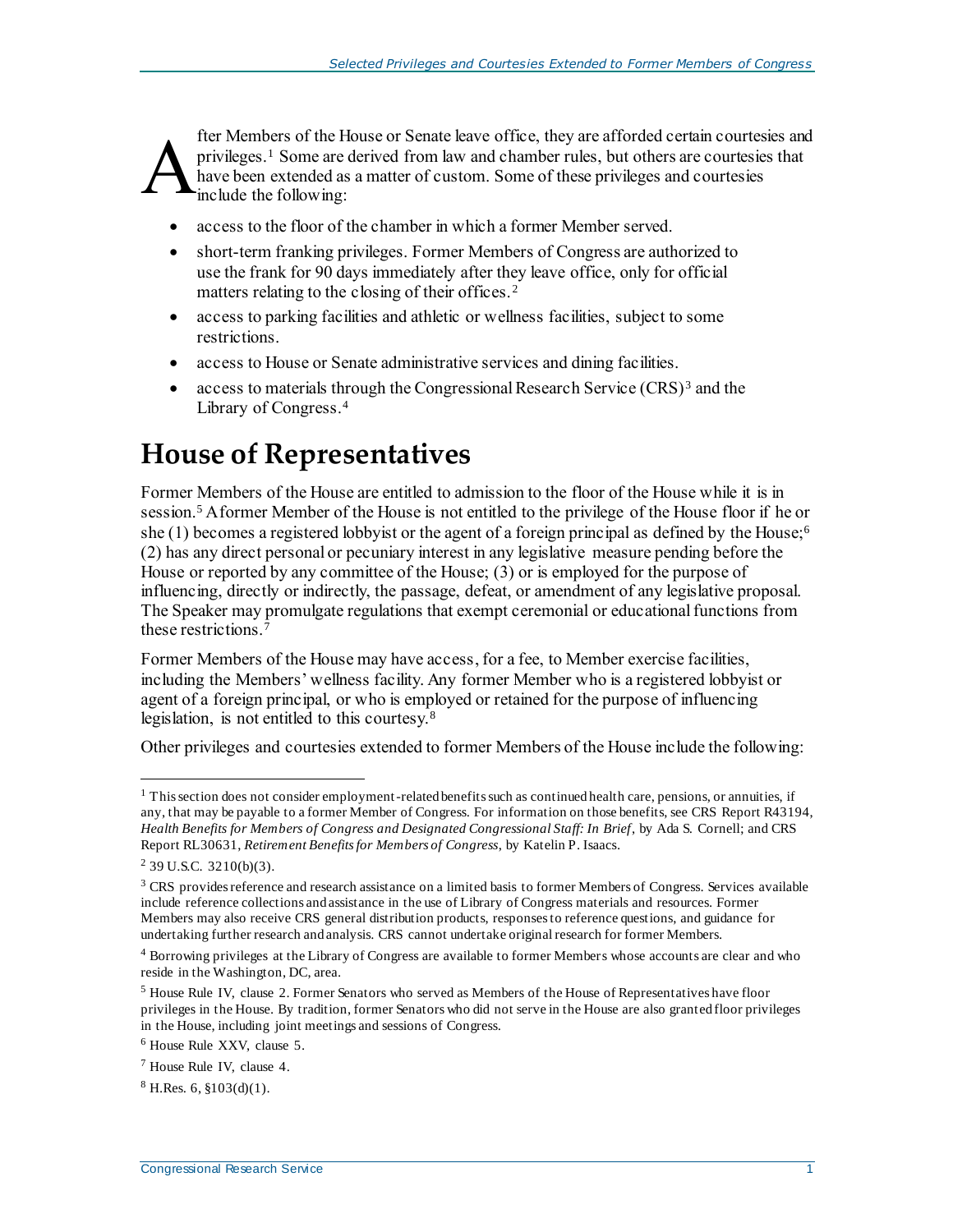fter Members of the House or Senate leave office, they are afforded certain courtesies and privileges.<sup>1</sup> Some are derived from law and chamber rules, but others are courtesies that have been extended as a matter of custom. Some of these privileges and courtesies include the following: A

- access to the floor of the chamber in which a former Member served.
- short-term franking privileges. Former Members of Congress are authorized to use the frank for 90 days immediately after they leave office, only for official matters relating to the closing of their offices.<sup>2</sup>
- access to parking facilities and athletic or wellness facilities, subject to some restrictions.
- access to House or Senate administrative services and dining facilities.
- access to materials through the Congressional Research Service  $(CRS)^3$  and the Library of Congress.<sup>4</sup>

## <span id="page-3-0"></span>**House of Representatives**

Former Members of the House are entitled to admission to the floor of the House while it is in session.<sup>5</sup> A former Member of the House is not entitled to the privilege of the House floor if he or she (1) becomes a registered lobbyist or the agent of a foreign principal as defined by the House;<sup>6</sup> (2) has any direct personal or pecuniary interest in any legislative measure pending before the House or reported by any committee of the House; (3) or is employed for the purpose of influencing, directly or indirectly, the passage, defeat, or amendment of any legislative proposal. The Speaker may promulgate regulations that exempt ceremonial or educational functions from these restrictions.<sup>7</sup>

Former Members of the House may have access, for a fee, to Member exercise facilities, including the Members' wellness facility. Any former Member who is a registered lobbyist or agent of a foreign principal, or who is employed or retained for the purpose of influencing legislation, is not entitled to this courtesy.<sup>8</sup>

Other privileges and courtesies extended to former Members of the House include the following:

l

<sup>&</sup>lt;sup>1</sup> This section does not consider employment-related benefits such as continued health care, pensions, or annuities, if any, that may be payable to a former Member of Congress. For information on those benefits, see CRS Report R43194, *Health Benefits for Members of Congress and Designated Congressional Staff: In Brief*, by Ada S. Cornell; and CRS Report RL30631, *Retirement Benefits for Members of Congress*, by Katelin P. Isaacs.

<sup>2</sup> 39 U.S.C. 3210(b)(3).

<sup>&</sup>lt;sup>3</sup> CRS provides reference and research assistance on a limited basis to former Members of Congress. Services available include reference collections and assistance in the use of Library of Congress materials and resources. Former Members may also receive CRS general distribution products, responses to reference questions, and guidance for undertaking further research and analysis. CRS cannot undertake original research for former Members.

<sup>4</sup> Borrowing privileges at the Library of Congress are available to former Members whose accounts are clear and who reside in the Washington, DC, area.

<sup>5</sup> House Rule IV, clause 2. Former Senators who served as Members of the House of Representatives have floor privileges in the House. By tradition, former Senators who did not serve in the House are also granted floor privileges in the House, including joint meetings and sessions of Congress.

<sup>6</sup> House Rule XXV, clause 5.

<sup>7</sup> House Rule IV, clause 4.

 $8$  H.Res. 6,  $$103(d)(1)$ .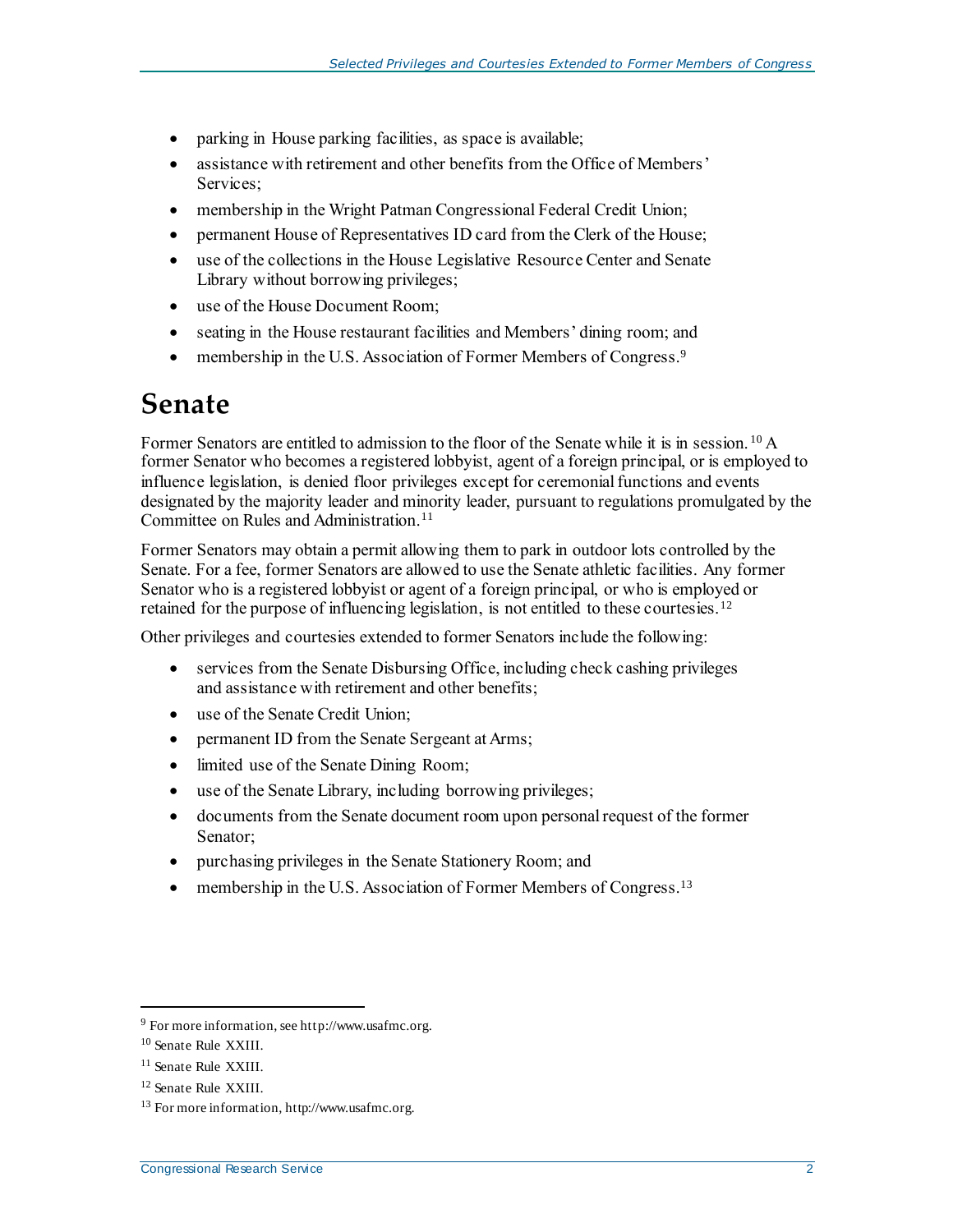- parking in House parking facilities, as space is available;
- assistance with retirement and other benefits from the Office of Members' Services;
- membership in the Wright Patman Congressional Federal Credit Union;
- permanent House of Representatives ID card from the Clerk of the House;
- use of the collections in the House Legislative Resource Center and Senate Library without borrowing privileges;
- use of the House Document Room;
- seating in the House restaurant facilities and Members' dining room; and
- membership in the U.S. Association of Former Members of Congress.<sup>9</sup>

### <span id="page-4-0"></span>**Senate**

Former Senators are entitled to admission to the floor of the Senate while it is in session.<sup>10</sup> A former Senator who becomes a registered lobbyist, agent of a foreign principal, or is employed to influence legislation, is denied floor privileges except for ceremonial functions and events designated by the majority leader and minority leader, pursuant to regulations promulgated by the Committee on Rules and Administration. 11

Former Senators may obtain a permit allowing them to park in outdoor lots controlled by the Senate. For a fee, former Senators are allowed to use the Senate athletic facilities. Any former Senator who is a registered lobbyist or agent of a foreign principal, or who is employed or retained for the purpose of influencing legislation, is not entitled to these courtesies.<sup>12</sup>

Other privileges and courtesies extended to former Senators include the following:

- services from the Senate Disbursing Office, including check cashing privileges and assistance with retirement and other benefits;
- use of the Senate Credit Union;
- permanent ID from the Senate Sergeant at Arms;
- limited use of the Senate Dining Room;
- use of the Senate Library, including borrowing privileges;
- documents from the Senate document room upon personal request of the former Senator;
- purchasing privileges in the Senate Stationery Room; and
- membership in the U.S. Association of Former Members of Congress.<sup>13</sup>

l

<sup>9</sup> For more information, see http://www.usafmc.org.

<sup>10</sup> Senate Rule XXIII.

<sup>11</sup> Senate Rule XXIII.

<sup>12</sup> Senate Rule XXIII.

<sup>13</sup> For more information, http://www.usafmc.org.